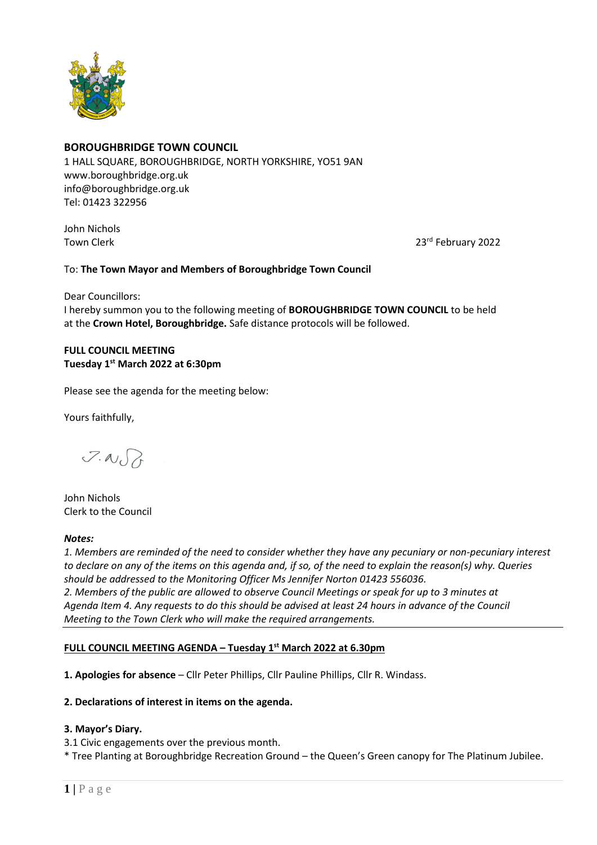

## **BOROUGHBRIDGE TOWN COUNCIL**

1 HALL SQUARE, BOROUGHBRIDGE, NORTH YORKSHIRE, YO51 9AN [www.boroughbridge.org.uk](http://www.boroughbridge.org.uk/) [info@boroughbridge.org.uk](mailto:info@boroughbridge.org.uk) Tel: 01423 322956

John Nichols **Town Clerk** 

23rd February 2022

## To: **The Town Mayor and Members of Boroughbridge Town Council**

Dear Councillors: I hereby summon you to the following meeting of **BOROUGHBRIDGE TOWN COUNCIL** to be held at the **Crown Hotel, Boroughbridge.** Safe distance protocols will be followed.

# **FULL COUNCIL MEETING Tuesday 1 st March 2022 at 6:30pm**

Please see the agenda for the meeting below:

Yours faithfully,

 $7.00$ 

John Nichols Clerk to the Council

#### *Notes:*

*1. Members are reminded of the need to consider whether they have any pecuniary or non-pecuniary interest to declare on any of the items on this agenda and, if so, of the need to explain the reason(s) why. Queries should be addressed to the Monitoring Officer Ms Jennifer Norton 01423 556036. 2. Members of the public are allowed to observe Council Meetings or speak for up to 3 minutes at Agenda Item 4. Any requests to do this should be advised at least 24 hours in advance of the Council Meeting to the Town Clerk who will make the required arrangements.* 

## **FULL COUNCIL MEETING AGENDA – Tuesday 1 st March 2022 at 6.30pm**

**1. Apologies for absence** – Cllr Peter Phillips, Cllr Pauline Phillips, Cllr R. Windass.

#### **2. Declarations of interest in items on the agenda.**

#### **3. Mayor's Diary.**

- 3.1 Civic engagements over the previous month.
- \* Tree Planting at Boroughbridge Recreation Ground the Queen's Green canopy for The Platinum Jubilee.